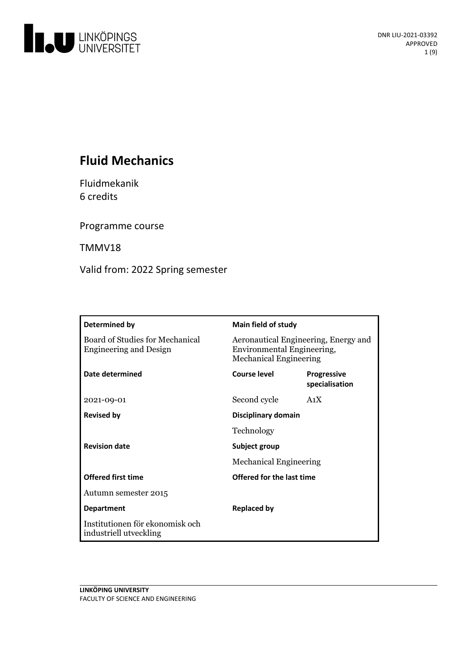

# **Fluid Mechanics**

Fluidmekanik 6 credits

Programme course

TMMV18

Valid from: 2022 Spring semester

| Determined by                                                           | <b>Main field of study</b>                                                                          |                                      |
|-------------------------------------------------------------------------|-----------------------------------------------------------------------------------------------------|--------------------------------------|
| <b>Board of Studies for Mechanical</b><br><b>Engineering and Design</b> | Aeronautical Engineering, Energy and<br>Environmental Engineering,<br><b>Mechanical Engineering</b> |                                      |
| Date determined                                                         | Course level                                                                                        | <b>Progressive</b><br>specialisation |
| 2021-09-01                                                              | Second cycle                                                                                        | A <sub>1</sub> X                     |
| <b>Revised by</b>                                                       | Disciplinary domain                                                                                 |                                      |
|                                                                         | Technology                                                                                          |                                      |
| <b>Revision date</b>                                                    | Subject group<br><b>Mechanical Engineering</b>                                                      |                                      |
|                                                                         |                                                                                                     |                                      |
| <b>Offered first time</b>                                               | Offered for the last time                                                                           |                                      |
| Autumn semester 2015                                                    |                                                                                                     |                                      |
| <b>Department</b>                                                       | <b>Replaced by</b>                                                                                  |                                      |
| Institutionen för ekonomisk och<br>industriell utveckling               |                                                                                                     |                                      |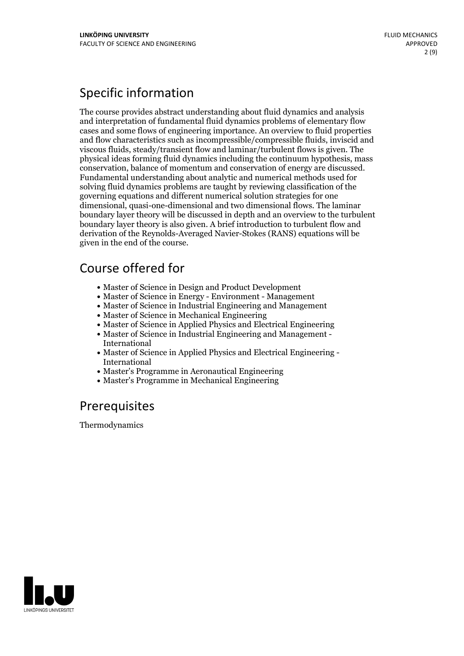# Specific information

The course provides abstract understanding about fluid dynamics and analysis and interpretation of fundamental fluid dynamics problems of elementary flow cases and some flows of engineering importance. An overview to fluid properties and flow characteristics such as incompressible/compressible fluids, inviscid and viscous fluids, steady/transient flow and laminar/turbulent flows is given. The physical ideas forming fluid dynamics including the continuum hypothesis, mass conservation, balance of momentum and conservation of energy are discussed. Fundamental understanding about analytic and numerical methods used for solving fluid dynamics problems are taught by reviewing classification of the governing equations and different numerical solution strategies for one dimensional, quasi-one-dimensional and two dimensional flows. The laminar boundary layer theory will be discussed in depth and an overview to the turbulent boundary layer theory is also given. A brief introduction to turbulent flow and derivation of the Reynolds-Averaged Navier-Stokes (RANS) equations will be given in the end of the course.

## Course offered for

- Master of Science in Design and Product Development
- Master of Science in Energy Environment Management
- Master of Science in Industrial Engineering and Management
- Master of Science in Mechanical Engineering
- Master of Science in Applied Physics and Electrical Engineering
- Master of Science in Industrial Engineering and Management International
- Master of Science in Applied Physics and Electrical Engineering International
- Master's Programme in Aeronautical Engineering
- Master's Programme in Mechanical Engineering

## **Prerequisites**

Thermodynamics

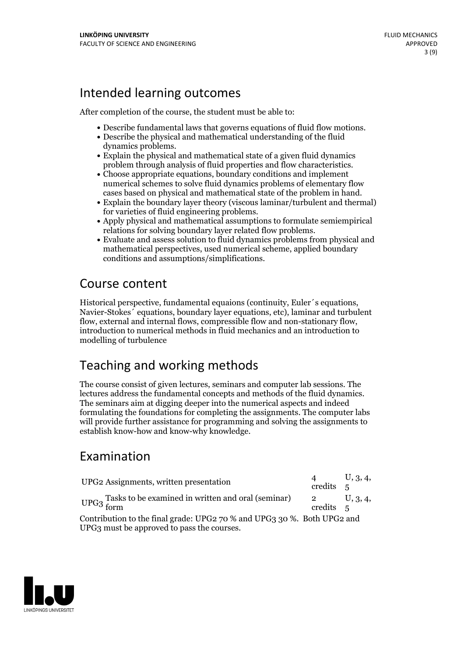## Intended learning outcomes

After completion of the course, the student must be able to:

- Describe fundamental laws that governs equations of fluid flow motions. Describe the physical and mathematical understanding of the fluid
- 
- dynamics problems.<br>• Explain the physical and mathematical state of a given fluid dynamics
- problem through analysis of fluid properties and flow characteristics. Choose appropriate equations, boundary conditions and implement numerical schemes to solve fluid dynamics problems of elementary flow cases based on physical and mathematical state of the problem in hand.
- Explain the boundary layer theory (viscous laminar/turbulent and thermal) for varieties of fluid engineering problems.<br>• Apply physical and mathematical assumptions to formulate semiempirical
- 
- relations for solving boundary layer related flow problems. Evaluate and assess solution to fluid dynamics problems from physical and mathematical perspectives, used numerical scheme, applied boundary conditions and assumptions/simplifications.

## Course content

Historical perspective, fundamental equaions (continuity, Euler´s equations, Navier-Stokes´ equations, boundary layer equations, etc), laminar and turbulent flow, external and internal flows, compressible flow and non-stationary flow, introduction to numerical methods in fluid mechanics and an introduction to modelling of turbulence

# Teaching and working methods

The course consist of given lectures, seminars and computer lab sessions. The lectures address the fundamental concepts and methods of the fluid dynamics. The seminars aim at digging deeper into the numerical aspects and indeed formulating the foundations for completing the assignments. The computer labs will provide further assistance for programming and solving the assignments to establish know-how and know-why knowledge.

# Examination

| UPG2 Assignments, written presentation                                  |           | U, 3, 4,       |  |  |
|-------------------------------------------------------------------------|-----------|----------------|--|--|
|                                                                         | credits 5 |                |  |  |
| UPG <sub>3</sub> Tasks to be examined in written and oral (seminar)     | $\sim$ 2  | $\cup$ , 3, 4, |  |  |
|                                                                         | credits 5 |                |  |  |
| Contribution to the final grade: UPG2 70 % and UPG3 30 %. Both UPG2 and |           |                |  |  |
| UPG3 must be approved to pass the courses.                              |           |                |  |  |

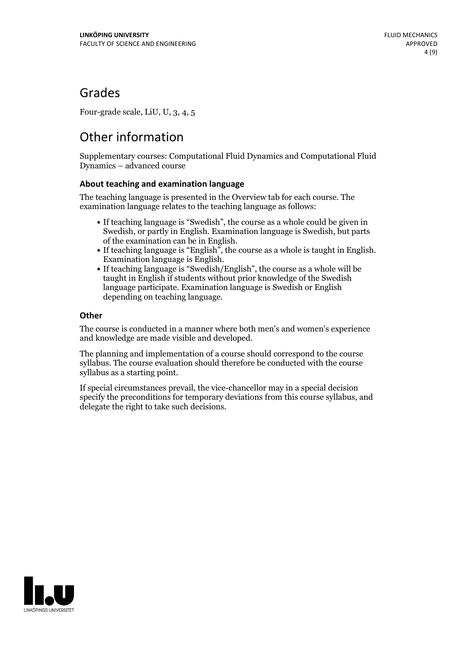## Grades

Four-grade scale, LiU, U, 3, 4, 5

# Other information

Supplementary courses: Computational Fluid Dynamics and Computational Fluid Dynamics – advanced course

### **About teaching and examination language**

The teaching language is presented in the Overview tab for each course. The examination language relates to the teaching language as follows:

- If teaching language is "Swedish", the course as a whole could be given in Swedish, or partly in English. Examination language is Swedish, but parts
- of the examination can be in English. If teaching language is "English", the course as <sup>a</sup> whole is taught in English. Examination language is English. If teaching language is "Swedish/English", the course as <sup>a</sup> whole will be
- taught in English if students without prior knowledge of the Swedish language participate. Examination language is Swedish or English depending on teaching language.

### **Other**

The course is conducted in a manner where both men's and women's experience and knowledge are made visible and developed.

The planning and implementation of a course should correspond to the course syllabus. The course evaluation should therefore be conducted with the course syllabus as a starting point.

If special circumstances prevail, the vice-chancellor may in a special decision specify the preconditions for temporary deviations from this course syllabus, and delegate the right to take such decisions.

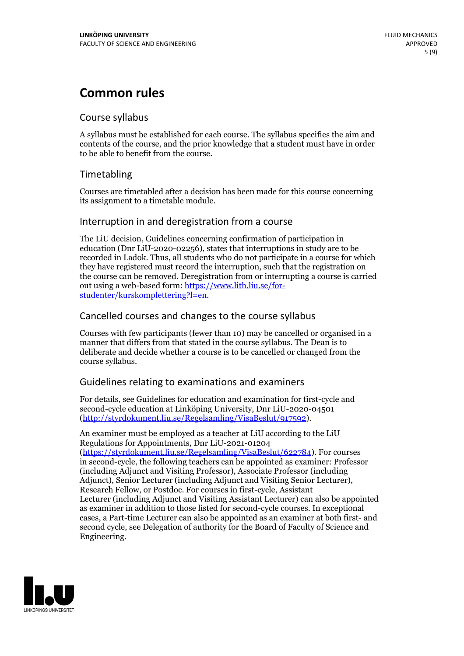## **Common rules**

## Course syllabus

A syllabus must be established for each course. The syllabus specifies the aim and contents of the course, and the prior knowledge that a student must have in order to be able to benefit from the course.

## Timetabling

Courses are timetabled after a decision has been made for this course concerning its assignment to a timetable module.

## Interruption in and deregistration from a course

The LiU decision, Guidelines concerning confirmation of participation in education (Dnr LiU-2020-02256), states that interruptions in study are to be recorded in Ladok. Thus, all students who do not participate in a course for which they have registered must record the interruption, such that the registration on the course can be removed. Deregistration from or interrupting a course is carried out using <sup>a</sup> web-based form: https://www.lith.liu.se/for- [studenter/kurskomplettering?l=en.](https://www.lith.liu.se/for-studenter/kurskomplettering?l=en)

## Cancelled courses and changes to the course syllabus

Courses with few participants (fewer than 10) may be cancelled or organised in a manner that differs from that stated in the course syllabus. The Dean is to deliberate and decide whether a course is to be cancelled or changed from the course syllabus.

## Guidelines relating to examinations and examiners

For details, see Guidelines for education and examination for first-cycle and second-cycle education at Linköping University, Dnr LiU-2020-04501 [\(http://styrdokument.liu.se/Regelsamling/VisaBeslut/917592\)](http://styrdokument.liu.se/Regelsamling/VisaBeslut/917592).

An examiner must be employed as a teacher at LiU according to the LiU Regulations for Appointments, Dnr LiU-2021-01204 [\(https://styrdokument.liu.se/Regelsamling/VisaBeslut/622784](https://styrdokument.liu.se/Regelsamling/VisaBeslut/622784)). For courses in second-cycle, the following teachers can be appointed as examiner: Professor (including Adjunct and Visiting Professor), Associate Professor (including Adjunct), Senior Lecturer (including Adjunct and Visiting Senior Lecturer), Research Fellow, or Postdoc. For courses in first-cycle, Assistant Lecturer (including Adjunct and Visiting Assistant Lecturer) can also be appointed as examiner in addition to those listed for second-cycle courses. In exceptional cases, a Part-time Lecturer can also be appointed as an examiner at both first- and second cycle, see Delegation of authority for the Board of Faculty of Science and Engineering.

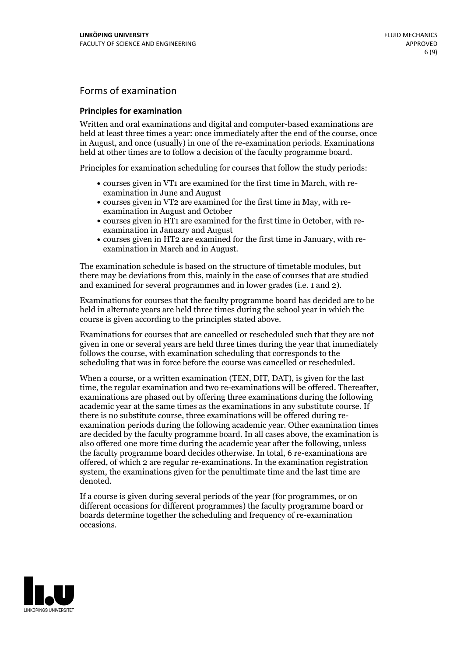## Forms of examination

### **Principles for examination**

Written and oral examinations and digital and computer-based examinations are held at least three times a year: once immediately after the end of the course, once in August, and once (usually) in one of the re-examination periods. Examinations held at other times are to follow a decision of the faculty programme board.

Principles for examination scheduling for courses that follow the study periods:

- courses given in VT1 are examined for the first time in March, with re-examination in June and August
- courses given in VT2 are examined for the first time in May, with re-examination in August and October
- courses given in HT1 are examined for the first time in October, with re-examination in January and August
- courses given in HT2 are examined for the first time in January, with re-examination in March and in August.

The examination schedule is based on the structure of timetable modules, but there may be deviations from this, mainly in the case of courses that are studied and examined for several programmes and in lower grades (i.e. 1 and 2).

Examinations for courses that the faculty programme board has decided are to be held in alternate years are held three times during the school year in which the course is given according to the principles stated above.

Examinations for courses that are cancelled orrescheduled such that they are not given in one or several years are held three times during the year that immediately follows the course, with examination scheduling that corresponds to the scheduling that was in force before the course was cancelled or rescheduled.

When a course, or a written examination (TEN, DIT, DAT), is given for the last time, the regular examination and two re-examinations will be offered. Thereafter, examinations are phased out by offering three examinations during the following academic year at the same times as the examinations in any substitute course. If there is no substitute course, three examinations will be offered during re- examination periods during the following academic year. Other examination times are decided by the faculty programme board. In all cases above, the examination is also offered one more time during the academic year after the following, unless the faculty programme board decides otherwise. In total, 6 re-examinations are offered, of which 2 are regular re-examinations. In the examination registration system, the examinations given for the penultimate time and the last time are denoted.

If a course is given during several periods of the year (for programmes, or on different occasions for different programmes) the faculty programme board or boards determine together the scheduling and frequency of re-examination occasions.

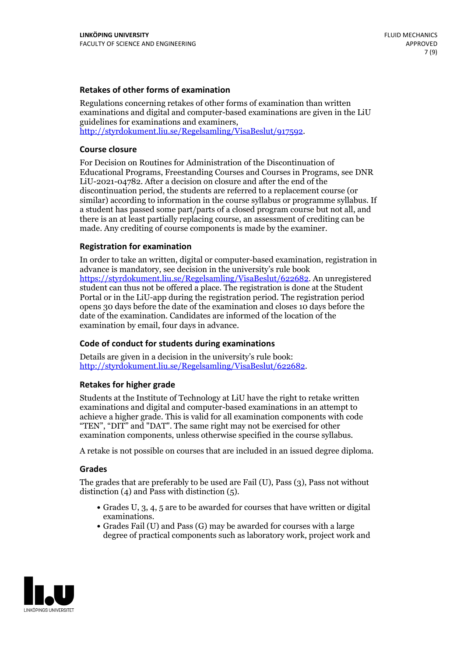### **Retakes of other forms of examination**

Regulations concerning retakes of other forms of examination than written examinations and digital and computer-based examinations are given in the LiU guidelines for examinations and examiners, [http://styrdokument.liu.se/Regelsamling/VisaBeslut/917592.](http://styrdokument.liu.se/Regelsamling/VisaBeslut/917592)

#### **Course closure**

For Decision on Routines for Administration of the Discontinuation of Educational Programs, Freestanding Courses and Courses in Programs, see DNR LiU-2021-04782. After a decision on closure and after the end of the discontinuation period, the students are referred to a replacement course (or similar) according to information in the course syllabus or programme syllabus. If a student has passed some part/parts of a closed program course but not all, and there is an at least partially replacing course, an assessment of crediting can be made. Any crediting of course components is made by the examiner.

### **Registration for examination**

In order to take an written, digital or computer-based examination, registration in advance is mandatory, see decision in the university's rule book [https://styrdokument.liu.se/Regelsamling/VisaBeslut/622682.](https://styrdokument.liu.se/Regelsamling/VisaBeslut/622682) An unregistered student can thus not be offered a place. The registration is done at the Student Portal or in the LiU-app during the registration period. The registration period opens 30 days before the date of the examination and closes 10 days before the date of the examination. Candidates are informed of the location of the examination by email, four days in advance.

### **Code of conduct for students during examinations**

Details are given in a decision in the university's rule book: <http://styrdokument.liu.se/Regelsamling/VisaBeslut/622682>.

#### **Retakes for higher grade**

Students at the Institute of Technology at LiU have the right to retake written examinations and digital and computer-based examinations in an attempt to achieve a higher grade. This is valid for all examination components with code "TEN", "DIT" and "DAT". The same right may not be exercised for other examination components, unless otherwise specified in the course syllabus.

A retake is not possible on courses that are included in an issued degree diploma.

#### **Grades**

The grades that are preferably to be used are Fail (U), Pass (3), Pass not without distinction  $(4)$  and Pass with distinction  $(5)$ .

- Grades U, 3, 4, 5 are to be awarded for courses that have written or digital examinations.<br>• Grades Fail (U) and Pass (G) may be awarded for courses with a large
- degree of practical components such as laboratory work, project work and

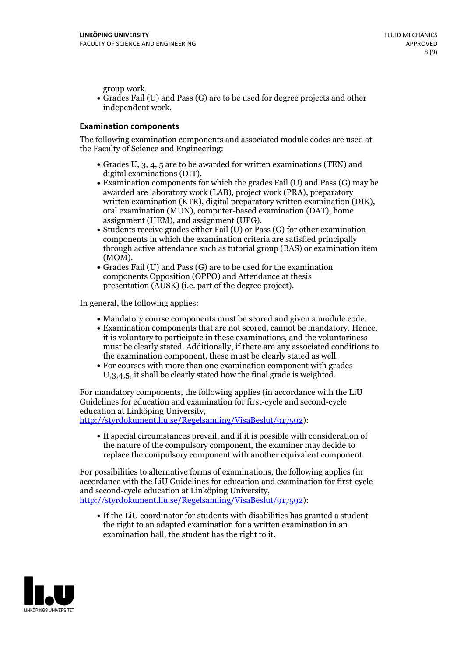group work.<br>• Grades Fail (U) and Pass (G) are to be used for degree projects and other independent work.

#### **Examination components**

The following examination components and associated module codes are used at the Faculty of Science and Engineering:

- Grades U, 3, 4, 5 are to be awarded for written examinations (TEN) and
- digital examinations (DIT).<br>• Examination components for which the grades Fail (U) and Pass (G) may be awarded are laboratory work (LAB), project work (PRA), preparatory written examination (KTR), digital preparatory written examination (DIK), oral examination (MUN), computer-based examination (DAT), home
- assignment (HEM), and assignment (UPG).<br>• Students receive grades either Fail (U) or Pass (G) for other examination components in which the examination criteria are satisfied principally through active attendance such as tutorial group (BAS) or examination item
- (MOM).<br>• Grades Fail (U) and Pass (G) are to be used for the examination components Opposition (OPPO) and Attendance at thesis presentation (AUSK) (i.e. part of the degree project).

In general, the following applies:

- 
- Mandatory course components must be scored and given <sup>a</sup> module code. Examination components that are not scored, cannot be mandatory. Hence, it is voluntary to participate in these examinations, and the voluntariness must be clearly stated. Additionally, if there are any associated conditions to
- the examination component, these must be clearly stated as well.<br>• For courses with more than one examination component with grades U,3,4,5, it shall be clearly stated how the final grade is weighted.

For mandatory components, the following applies (in accordance with the LiU Guidelines for education and examination for first-cycle and second-cycle education at Linköping University,<br>[http://styrdokument.liu.se/Regelsamling/VisaBeslut/917592\)](http://styrdokument.liu.se/Regelsamling/VisaBeslut/917592):

If special circumstances prevail, and if it is possible with consideration of the nature of the compulsory component, the examiner may decide to replace the compulsory component with another equivalent component.

For possibilities to alternative forms of examinations, the following applies (in accordance with the LiU Guidelines for education and examination for first-cycle [http://styrdokument.liu.se/Regelsamling/VisaBeslut/917592\)](http://styrdokument.liu.se/Regelsamling/VisaBeslut/917592):

If the LiU coordinator for students with disabilities has granted a student the right to an adapted examination for a written examination in an examination hall, the student has the right to it.